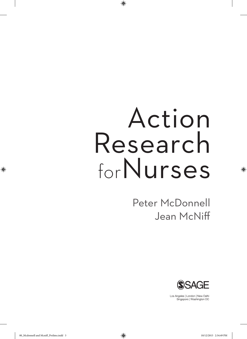$\bigoplus$ 

Peter McDonnell Jean McNiff



Los Angeles | London | New Delhi Singapore | Washington DC

00\_Mcdonnell and Mcniff\_Prelims.indd 3 10/12/2015 2:34:49 PM

⊕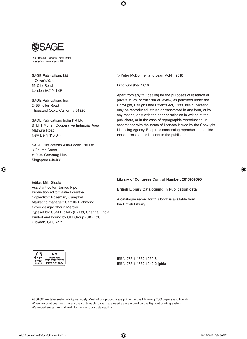

Los Angeles | London | New Delhi Singapore | Washington DC

SAGE Publications Ltd 1 Oliver's Yard 55 City Road London EC1Y 1SP

SAGE Publications Inc. 2455 Teller Road Thousand Oaks, California 91320

SAGE Publications India Pvt Ltd B 1/I 1 Mohan Cooperative Industrial Area Mathura Road New Delhi 110 044

SAGE Publications Asia-Pacific Pte Ltd 3 Church Street #10-04 Samsung Hub Singapore 049483

Peter McDonnell and Jean McNiff 2016

First published 2016

⊕

Apart from any fair dealing for the purposes of research or private study, or criticism or review, as permitted under the Copyright, Designs and Patents Act, 1988, this publication may be reproduced, stored or transmitted in any form, or by any means, only with the prior permission in writing of the publishers, or in the case of reprographic reproduction, in accordance with the terms of licences issued by the Copyright Licensing Agency. Enquiries concerning reproduction outside those terms should be sent to the publishers.

#### **Library of Congress Control Number: 2015939590**

#### **British Library Cataloguing in Publication data**

A catalogue record for this book is available from the British Library

Assistant editor: James Piper Production editor: Katie Forsythe Copyeditor: Rosemary Campbell Marketing manager: Camille Richmond Cover design: Shaun Mercier Typeset by: C&M Digitals (P) Ltd, Chennai, India Printed and bound by CPI Group (UK) Ltd, Croydon, CR0 4YY



Editor: Mila Steele

⊕

ISBN 978-1-4739-1939-6 ISBN 978-1-4739-1940-2 (pbk)

At SAGE we take sustainability seriously. Most of our products are printed in the UK using FSC papers and boards. When we print overseas we ensure sustainable papers are used as measured by the Egmont grading system. We undertake an annual audit to monitor our sustainability.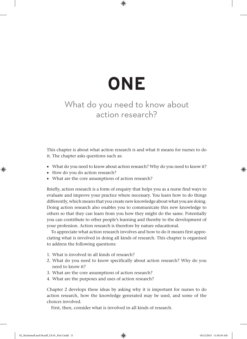# **ONE**

 $\bigoplus$ 

# What do you need to know about action research?

This chapter is about what action research is and what it means for nurses to do it. The chapter asks questions such as:

- What do you need to know about action research? Why do you need to know it?
- How do you do action research?
- What are the core assumptions of action research?

Briefly, action research is a form of enquiry that helps you as a nurse find ways to evaluate and improve your practice where necessary. You learn how to do things differently, which means that you create new knowledge about what you are doing. Doing action research also enables you to communicate this new knowledge to others so that they can learn from you how they might do the same. Potentially you can contribute to other people's learning and thereby to the development of your profession. Action research is therefore by nature educational.

To appreciate what action research involves and how to do it means first appreciating what is involved in doing all kinds of research. This chapter is organised to address the following questions:

- 1. What is involved in all kinds of research?
- 2. What do you need to know specifically about action research? Why do you need to know it?
- 3. What are the core assumptions of action research?
- 4. What are the purposes and uses of action research?

Chapter 2 develops these ideas by asking why it is important for nurses to do action research, how the knowledge generated may be used, and some of the choices involved.

First, then, consider what is involved in all kinds of research.

⊕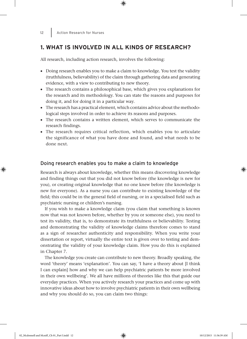# **1. WHAT IS INVOLVED IN ALL KINDS OF RESEARCH?**

⊕

All research, including action research, involves the following:

- Doing research enables you to make a claim to knowledge. You test the validity (truthfulness, believability) of the claim through gathering data and generating evidence, with a view to contributing to new theory.
- The research contains a philosophical base, which gives you explanations for the research and its methodology. You can state the reasons and purposes for doing it, and for doing it in a particular way.
- The research has a practical element, which contains advice about the methodological steps involved in order to achieve its reasons and purposes.
- The research contains a written element, which serves to communicate the research findings.
- The research requires critical reflection, which enables you to articulate the significance of what you have done and found, and what needs to be done next.

#### Doing research enables you to make a claim to knowledge

Research is always about knowledge, whether this means discovering knowledge and finding things out that you did not know before (the knowledge is new for you), or creating original knowledge that no one knew before (the knowledge is new for everyone). As a nurse you can contribute to existing knowledge of the field; this could be in the general field of nursing, or in a specialised field such as psychiatric nursing or children's nursing.

If you wish to make a knowledge claim (you claim that something is known now that was not known before, whether by you or someone else), you need to test its validity, that is, to demonstrate its truthfulness or believability. Testing and demonstrating the validity of knowledge claims therefore comes to stand as a sign of researcher authenticity and responsibility. When you write your dissertation or report, virtually the entire text is given over to testing and demonstrating the validity of your knowledge claim. How you do this is explained in Chapter 7.

The knowledge you create can contribute to new theory. Broadly speaking, the word 'theory' means 'explanation'. You can say, 'I have a theory about [I think I can explain] how and why we can help psychiatric patients be more involved in their own wellbeing'. We all have millions of theories like this that guide our everyday practices. When you actively research your practices and come up with innovative ideas about how to involve psychiatric patients in their own wellbeing and why you should do so, you can claim two things:

02\_Mcdonnell and Mcniff\_Ch 01\_Part I.indd 12 10/12/2015 11:56:39 AM

♠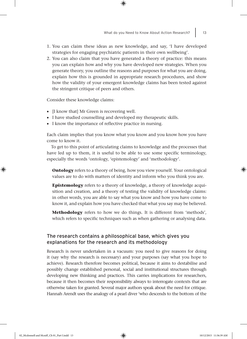1. You can claim these ideas as new knowledge, and say, 'I have developed strategies for engaging psychiatric patients in their own wellbeing'.

 $\textcircled{\scriptsize{*}}$ 

2. You can also claim that you have generated a theory of practice: this means you can explain how and why you have developed new strategies. When you generate theory, you outline the reasons and purposes for what you are doing, explain how this is grounded in appropriate research procedures, and show how the validity of your emergent knowledge claims has been tested against the stringent critique of peers and others.

Consider these knowledge claims:

- [I know that] Mr Green is recovering well.
- I have studied counselling and developed my therapeutic skills.
- I know the importance of reflective practice in nursing.

Each claim implies that you know what you know and you know how you have come to know it.

To get to this point of articulating claims to knowledge and the processes that have led up to them, it is useful to be able to use some specific terminology, especially the words 'ontology, 'epistemology' and 'methodology'.

**Ontology** refers to a theory of being, how you view yourself. Your ontological values are to do with matters of identity and inform who you think you are.

**Epistemology** refers to a theory of knowledge, a theory of knowledge acquisition and creation, and a theory of testing the validity of knowledge claims: in other words, you are able to say what you know and how you have come to know it, and explain how you have checked that what you say may be believed.

**Methodology** refers to how we do things. It is different from 'methods', which refers to specific techniques such as when gathering or analysing data.

#### The research contains a philosophical base, which gives you explanations for the research and its methodology

Research is never undertaken in a vacuum: you need to give reasons for doing it (say why the research is necessary) and your purposes (say what you hope to achieve). Research therefore becomes political, because it aims to destabilise and possibly change established personal, social and institutional structures through developing new thinking and practices. This carries implications for researchers, because it then becomes their responsibility always to interrogate contexts that are otherwise taken for granted. Several major authors speak about the need for critique. Hannah Arendt uses the analogy of a pearl diver 'who descends to the bottom of the

♠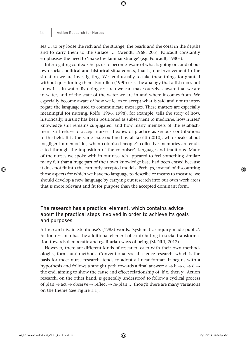sea … to pry loose the rich and the strange, the pearls and the coral in the depths and to carry them to the surface …' (Arendt, 1968: 205). Foucault constantly emphasises the need to 'make the familiar strange' (e.g. Foucault, 1980a).

 $\textcircled{\scriptsize\textsf{P}}$ 

Interrogating contexts helps us to become aware of what is going on, and of our own social, political and historical situatedness, that is, our involvement in the situation we are investigating. We tend usually to take these things for granted without questioning them. Bourdieu (1990) uses the analogy that a fish does not know it is in water. By doing research we can make ourselves aware that we are in water, and of the state of the water we are in and where it comes from. We especially become aware of how we learn to accept what is said and not to interrogate the language used to communicate messages. These matters are especially meaningful for nursing. Rolfe (1996, 1998), for example, tells the story of how, historically, nursing has been positioned as subservient to medicine; how nurses' knowledge still remains subjugated; and how many members of the establishment still refuse to accept nurses' theories of practice as serious contributions to the field. It is the same issue outlined by al-Takriti (2010), who speaks about 'negligent mnemocide', when colonised people's collective memories are eradicated through the imposition of the coloniser's language and traditions. Many of the nurses we spoke with in our research appeared to feel something similar: many felt that a huge part of their own knowledge base had been erased because it does not fit into the currently accepted models. Perhaps, instead of discounting those aspects for which we have no language to describe or means to measure, we should develop a new language by carrying out research into our own work areas that is more relevant and fit for purpose than the accepted dominant form.

# The research has a practical element, which contains advice about the practical steps involved in order to achieve its goals and purposes

All research is, in Stenhouse's (1983) words, 'systematic enquiry made public'. Action research has the additional element of contributing to social transformation towards democratic and egalitarian ways of being (McNiff, 2013).

However, there are different kinds of research, each with their own methodologies, forms and methods. Conventional social science research, which is the basis for most nurse research, tends to adopt a linear format. It begins with a hypothesis and follows a straight path towards a final answer:  $a \rightarrow b \rightarrow c \rightarrow d \rightarrow$ the end, aiming to show the cause and effect relationship of 'If x, then y'. Action research, on the other hand, is generally understood to follow a cyclical process of plan  $\rightarrow$  act  $\rightarrow$  observe  $\rightarrow$  reflect  $\rightarrow$  re-plan ... though there are many variations on the theme (see Figure 1.1).

02\_Mcdonnell and Mcniff\_Ch 01\_Part I.indd 14 10/12/2015 11:56:39 AM

♠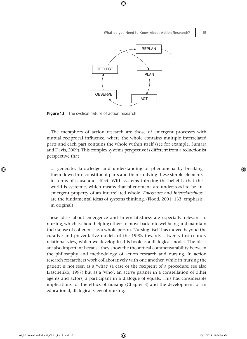

 $\bigoplus$ 

**Figure 1.1** The cyclical nature of action research

The metaphors of action research are those of emergent processes with mutual reciprocal influence, where the whole contains multiple interrelated parts and each part contains the whole within itself (see for example, Sumara and Davis, 2009). This complex systems perspective is different from a reductionist perspective that

… generates knowledge and understanding of phenomena by breaking them down into constituent parts and then studying these simple elements in terms of cause and effect. With systems thinking the belief is that the world is systemic, which means that phenomena are understood to be an emergent property of an interrelated whole. *Emergence* and *interrelatedness* are the fundamental ideas of systems thinking. (Flood, 2001: 133, emphasis in original)

These ideas about emergence and interrelatedness are especially relevant to nursing, which is about helping others to move back into wellbeing and maintain their sense of coherence as a whole person. Nursing itself has moved beyond the curative and preventative models of the 1990s towards a twenty-first-century relational view, which we develop in this book as a dialogical model. The ideas are also important because they show the theoretical commensurability between the philosophy and methodology of action research and nursing. In action research researchers work collaboratively with one another, while in nursing the patient is not seen as a 'what' (a case or the recipient of a procedure: see also Liaschenko, 1997) but as a 'who', an active partner in a constellation of other agents and actors, a participant in a dialogue of equals. This has considerable implications for the ethics of nursing (Chapter 3) and the development of an educational, dialogical view of nursing.

⊕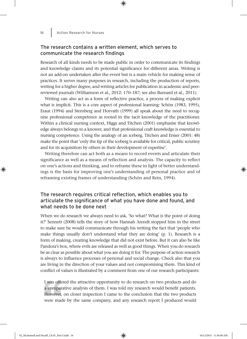# The research contains a written element, which serves to communicate the research findings

Research of all kinds needs to be made public in order to communicate its findings and knowledge claims and its potential significance for different areas. Writing is not an add-on undertaken after the event but is a main vehicle for making sense of practices. It serves many purposes in research, including the production of reports, writing for a higher degree, and writing articles for publication in academic and peerreviewed journals (Williamson et al., 2012: 170–187; see also Burnard et al., 2011).

⊕

Writing can also act as a form of reflective practice, a process of making explicit what is implicit. This is a core aspect of professional learning: Schön (1983, 1995), Eraut (1994) and Sternberg and Horvath (1999) all speak about the need to recognise professional competence as rooted in the tacit knowledge of the practitioner. Within a clinical nursing context, Higgs and Titchen (2001) emphasise that knowledge always belongs to a knower, and that professional craft knowledge is essential to nursing competence. Using the analogy of an iceberg, Titchen and Ersser (2001: 48) make the point that 'only the tip of the iceberg is available for critical, public scrutiny and for its acquisition by others in their development of expertise'.

Writing therefore can act both as a means to record events and articulate their significance as well as a means of reflection and analysis. The capacity to reflect on one's actions and thinking, and to reframe these in light of better understandings is the basis for improving one's understanding of personal practice and of reframing existing frames of understanding (Schön and Rein, 1994).

# The research requires critical reflection, which enables you to articulate the significance of what you have done and found, and what needs to be done next

When we do research we always need to ask, 'So what? What is the point of doing it?' Sennett (2008) tells the story of how Hannah Arendt stopped him in the street to make sure he would communicate through his writing the fact that 'people who make things usually don't understand what they are doing' (p. 1). Research is a form of making, creating knowledge that did not exist before. But it can also be like Pandora's box, where evils are released as well as good things. When you do research be as clear as possible about what you are doing it for. The purpose of action research is always to influence processes of personal and social change. Check also that you are living in the direction of your values and not compromising them. This kind of conflict of values is illustrated by a comment from one of our research participants:

I was offered the attractive opportunity to do research on two products and do a comparative analysis of them. I was told my research would benefit patients. However, on closer inspection I came to the conclusion that the two products were made by the same company, and any research report I produced would

02\_Mcdonnell and Mcniff\_Ch 01\_Part I.indd 16 10/12/2015 11:56:40 AM

♠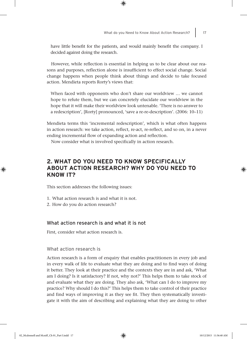have little benefit for the patients, and would mainly benefit the company. I decided against doing the research.

 $\textcircled{\scriptsize{*}}$ 

However, while reflection is essential in helping us to be clear about our reasons and purposes, reflection alone is insufficient to effect social change. Social change happens when people think about things and decide to take focused action. Mendieta reports Rorty's views that:

When faced with opponents who don't share our worldview … we cannot hope to refute them, but we can concretely elucidate our worldview in the hope that it will make their worldview look untenable. 'There is no answer to a redescription', [Rorty] pronounced, 'save a re-re-description'. (2006: 10–11)

Mendieta terms this 'incremental redescription', which is what often happens in action research: we take action, reflect, re-act, re-reflect, and so on, in a never ending incremental flow of expanding action and reflection.

Now consider what is involved specifically in action research.

# **2. WHAT DO YOU NEED TO KNOW SPECIFICALLY ABOUT ACTION RESEARCH? WHY DO YOU NEED TO KNOW IT?**

This section addresses the following issues:

- 1. What action research is and what it is not.
- 2. How do you do action research?

#### What action research is and what it is not

First, consider what action research is.

#### What action research is

Action research is a form of enquiry that enables practitioners in every job and in every walk of life to evaluate what they are doing and to find ways of doing it better. They look at their practice and the contexts they are in and ask, 'What am I doing? Is it satisfactory? If not, why not?' This helps them to take stock of and evaluate what they are doing. They also ask, 'What can I do to improve my practice? Why should I do this?' This helps them to take control of their practice and find ways of improving it as they see fit. They then systematically investigate it with the aim of describing and explaining what they are doing to other

02\_Mcdonnell and Mcniff\_Ch 01\_Part I.indd 17 10/12/2015 11:56:40 AM

♠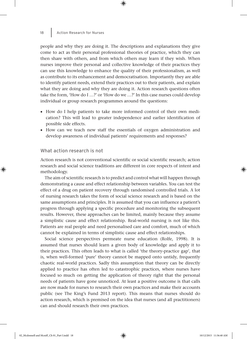people and why they are doing it. The descriptions and explanations they give come to act as their personal professional theories of practice, which they can then share with others, and from which others may learn if they wish. When nurses improve their personal and collective knowledge of their practices they can use this knowledge to enhance the quality of their professionalism, as well as contribute to its enhancement and democratisation. Importantly they are able to identify patient needs, extend their practices out to their patients, and explain what they are doing and why they are doing it. Action research questions often take the form, 'How do I …?' or 'How do we …?' In this case nurses could develop individual or group research programmes around the questions:

⊕

- • How do I help patients to take more informed control of their own medication? This will lead to greater independence and earlier identification of possible side effects.
- How can we teach new staff the essentials of oxygen administration and develop awareness of individual patients' requirements and responses?

#### What action research is not

♠

Action research is not conventional scientific or social scientific research; action research and social science traditions are different in core respects of intent and methodology.

The aim of scientific research is to predict and control what will happen through demonstrating a cause and effect relationship between variables. You can test the effect of a drug on patient recovery through randomised controlled trials*.* A lot of nursing research takes the form of social science research and is based on the same assumptions and principles. It is assumed that you can influence a patient's progress through applying a specific procedure and monitoring the subsequent results. However, these approaches can be limited, mainly because they assume a simplistic cause and effect relationship*.* Real-world nursing is not like this. Patients are real people and need personalised care and comfort, much of which cannot be explained in terms of simplistic cause and effect relationships.

Social science perspectives permeate nurse education (Rolfe, 1998). It is assumed that nurses should learn a given body of knowledge and apply it to their practices. This often leads to what is called 'the theory-practice gap', that is, when well-formed 'pure' theory cannot be mapped onto untidy, frequently chaotic real-world practices. Sadly this assumption that theory can be directly applied to practice has often led to catastrophic practices, where nurses have focused so much on getting the application of theory right that the personal needs of patients have gone unnoticed. At least a positive outcome is that calls are now made for nurses to research their own practices and make their accounts public (see The King's Fund 2013 report). This means that nurses should do action research, which is premised on the idea that nurses (and all practitioners) can and should research their own practices.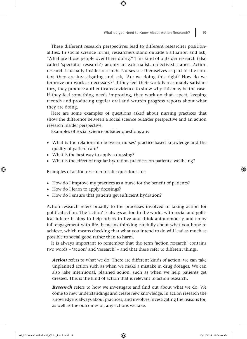These different research perspectives lead to different researcher positionalities. In social science forms, researchers stand outside a situation and ask, 'What are those people over there doing?' This kind of outsider research (also called 'spectator research') adopts an externalist, objectivist stance. Action research is usually insider research. Nurses see themselves as part of the context they are investigating and ask, 'Are we doing this right? How do we improve our work as necessary?' If they feel their work is reasonably satisfactory, they produce authenticated evidence to show why this may be the case. If they feel something needs improving, they work on that aspect, keeping records and producing regular oral and written progress reports about what they are doing.

 $\textcircled{\scriptsize{*}}$ 

Here are some examples of questions asked about nursing practices that show the difference between a social science outsider perspective and an action research insider perspective.

Examples of social science outsider questions are:

- • What is the relationship between nurses' practice-based knowledge and the quality of patient care?
- What is the best way to apply a dressing?
- What is the effect of regular hydration practices on patients' wellbeing?

Examples of action research insider questions are:

- How do I improve my practices as a nurse for the benefit of patients?
- How do I learn to apply dressings?
- How do I ensure that patients get sufficient hydration?

Action research refers broadly to the processes involved in taking action for political action. The 'action' is always action in the world, with social and political intent: it aims to help others to live and think autonomously and enjoy full engagement with life. It means thinking carefully about what you hope to achieve, which means checking that what you intend to do will lead as much as possible to social good rather than to harm.

It is always important to remember that the term 'action research' contains two words – 'action' and 'research' – and that these refer to different things.

*Action* refers to what we do. There are different kinds of action: we can take unplanned action such as when we make a mistake in drug dosages. We can also take intentional, planned action, such as when we help patients get dressed. This is the kind of action that is relevant to action research.

*Research* refers to how we investigate and find out about what we do. We come to new understandings and create new knowledge. In action research the knowledge is always about practices, and involves investigating the reasons for, as well as the outcomes of, any actions we take.

02\_Mcdonnell and Mcniff\_Ch 01\_Part I.indd 19 10/12/2015 11:56:40 AM

♠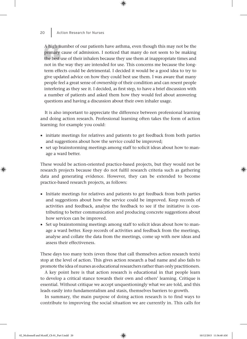A high number of our patients have asthma, even though this may not be the primary cause of admission. I noticed that many do not seem to be making the best use of their inhalers because they use them at inappropriate times and not in the way they are intended for use. This concerns me because the longterm effects could be detrimental. I decided it would be a good idea to try to give updated advice on how they could best use them. I was aware that many people feel a great sense of ownership of their condition and can resent people interfering as they see it. I decided, as first step, to have a brief discussion with a number of patients and asked them how they would feel about answering questions and having a discussion about their own inhaler usage.

 $\textcircled{\scriptsize{*}}$ 

It is also important to appreciate the difference between professional learning and doing action research. Professional learning often takes the form of action learning; for example you could:

- • initiate meetings for relatives and patients to get feedback from both parties and suggestions about how the service could be improved;
- set up brainstorming meetings among staff to solicit ideas about how to manage a ward better.

These would be action-oriented practice-based projects, but they would not be research projects because they do not fulfil research criteria such as gathering data and generating evidence. However, they can be extended to become practice-based research projects, as follows:

- • Initiate meetings for relatives and patients to get feedback from both parties and suggestions about how the service could be improved. Keep records of activities and feedback, analyse the feedback to see if the initiative is contributing to better communication and producing concrete suggestions about how services can be improved.
- Set up brainstorming meetings among staff to solicit ideas about how to manage a ward better. Keep records of activities and feedback from the meetings, analyse and collate the data from the meetings, come up with new ideas and assess their effectiveness.

These days too many texts (even those that call themselves action research texts) stop at the level of action. This gives action research a bad name and also fails to promote the idea of nurses as educational researchers rather than only practitioners.

A key point here is that action research is educational in that people learn to develop a critical stance towards their own and others' learning. Critique is essential. Without critique we accept unquestioningly what we are told, and this leads easily into fundamentalism and stasis, themselves barriers to growth.

In summary, the main purpose of doing action research is to find ways to contribute to improving the social situation we are currently in. This calls for

02\_Mcdonnell and Mcniff\_Ch 01\_Part I.indd 20 10/12/2015 11:56:40 AM

♠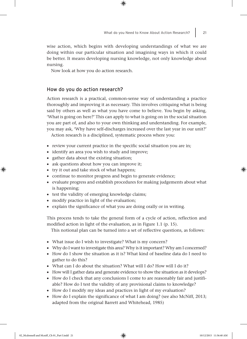wise action, which begins with developing understandings of what we are doing within our particular situation and imagining ways in which it could be better. It means developing nursing knowledge, not only knowledge about nursing.

⊕

Now look at how you do action research.

#### How do you do action research?

Action research is a practical, common-sense way of understanding a practice thoroughly and improving it as necessary. This involves critiquing what is being said by others as well as what you have come to believe. You begin by asking, 'What is going on here?' This can apply to what is going on in the social situation you are part of, and also to your own thinking and understanding. For example, you may ask, 'Why have self-discharges increased over the last year in our unit?'

Action research is a disciplined, systematic process where you:

- review your current practice in the specific social situation you are in;
- identify an area you wish to study and improve;
- gather data about the existing situation;
- ask questions about how you can improve it;
- try it out and take stock of what happens;
- continue to monitor progress and begin to generate evidence;
- • evaluate progress and establish procedures for making judgements about what is happening;
- test the validity of emerging knowledge claims;
- modify practice in light of the evaluation;
- • explain the significance of what you are doing orally or in writing.

This process tends to take the general form of a cycle of action, reflection and modified action in light of the evaluation, as in Figure 1.1 (p. 15).

This notional plan can be turned into a set of reflective questions, as follows:

- What issue do I wish to investigate? What is my concern?
- • Why do I want to investigate this area? Why is it important? Why am I concerned?
- How do I show the situation as it is? What kind of baseline data do I need to gather to do this?
- What can I do about the situation? What will I do? How will I do it?
- How will I gather data and generate evidence to show the situation as it develops?
- • How do I check that any conclusions I come to are reasonably fair and justifiable? How do I test the validity of any provisional claims to knowledge?
- How do I modify my ideas and practices in light of my evaluation?
- How do I explain the significance of what I am doing? (see also McNiff, 2013; adapted from the original Barrett and Whitehead, 1985)

02\_Mcdonnell and Mcniff\_Ch 01\_Part I.indd 21 10/12/2015 11:56:40 AM

♠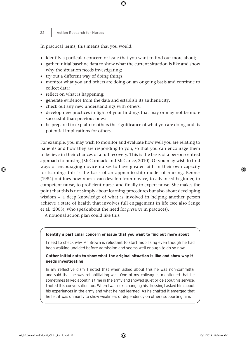In practical terms, this means that you would:

• identify a particular concern or issue that you want to find out more about;

 $\textcircled{\scriptsize\textsf{P}}$ 

- • gather initial baseline data to show what the current situation is like and show why the situation needs investigating;
- try out a different way of doing things;
- monitor what you and others are doing on an ongoing basis and continue to collect data;
- reflect on what is happening;
- generate evidence from the data and establish its authenticity:
- check out any new understandings with others;
- develop new practices in light of your findings that may or may not be more successful than previous ones;
- be prepared to explain to others the significance of what you are doing and its potential implications for others.

For example, you may wish to monitor and evaluate how well you are relating to patients and how they are responding to you, so that you can encourage them to believe in their chances of a full recovery. This is the basis of a person-centred approach to nursing (McCormack and McCance, 2010). Or you may wish to find ways of encouraging novice nurses to have greater faith in their own capacity for learning: this is the basis of an apprenticeship model of nursing. Benner (1984) outlines how nurses can develop from novice, to advanced beginner, to competent nurse, to proficient nurse, and finally to expert nurse. She makes the point that this is not simply about learning procedures but also about developing wisdom – a deep knowledge of what is involved in helping another person achieve a state of health that involves full engagement in life (see also Senge et al. (2005), who speak about the need for *presence* in practices).

A notional action plan could like this.

#### **Identify a particular concern or issue that you want to find out more about**

I need to check why Mr Brown is reluctant to start mobilising even though he had been walking unaided before admission and seems well enough to do so now.

#### **Gather initial data to show what the original situation is like and show why it needs investigating**

In my reflective diary I noted that when asked about this he was non-committal and said that he was rehabilitating well. One of my colleagues mentioned that he sometimes talked about his time in the army and showed quiet pride about his service. I noted this conversation too. When I was next changing his dressing I asked him about his experiences in the army and what he had learned. As he chatted it emerged that he felt it was unmanly to show weakness or dependency on others supporting him.

02\_Mcdonnell and Mcniff\_Ch 01\_Part I.indd 22 10/12/2015 11:56:40 AM

♠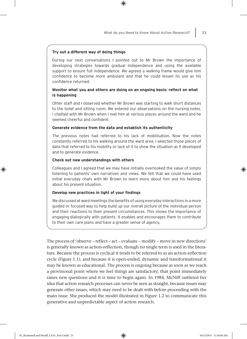#### **Try out a different way of doing things**

During our next conversations I pointed out to Mr Brown the importance of developing strategies towards gradual independence and using the available support to ensure full independence. We agreed a walking frame would give him confidence to become more ambulant and that he could lessen its use as his confidence returned.

 $\textcircled{\scriptsize\textsf{P}}$ 

#### **Monitor what you and others are doing on an ongoing basis: reflect on what is happening**

Other staff and I observed whether Mr Brown was starting to walk short distances to the toilet and sitting room. We entered our observations on the nursing notes. I chatted with Mr Brown when I met him at various places around the ward and he seemed cheerful and confident.

#### **Generate evidence from the data and establish its authenticity**

The previous notes had referred to his lack of mobilisation. Now the notes constantly referred to his walking around the ward area. I selected those pieces of data that referred to his mobility or lack of it to show the situation as it developed and to generate evidence.

#### **Check out new understandings with others**

Colleagues and I agreed that we may have initially overlooked the value of simply listening to patients' own narratives and views. We felt that we could have used initial everyday chats with Mr Brown to learn more about him and his feelings about his present situation.

#### **Develop new practices in light of your findings**

We discussed at ward meetings the benefits of using everyday interactions in a more guided or focused way to help build up our overall picture of the individual person and their reactions to their present circumstances. This shows the importance of engaging dialogically with patients. It enables and encourages them to contribute to their own care plans and have a greater sense of agency.

The process of 'observe – reflect – act – evaluate – modify – move in new directions' is generally known as action-reflection, though no single term is used in the literature. Because the process is cyclical it tends to be referred to as an action-reflection cycle (Figure 1.1), and because it is open-ended, dynamic and transformational it may be known as educational. The process is ongoing because as soon as we reach a provisional point where we feel things are satisfactory, that point immediately raises new questions and it is time to begin again. In 1984, McNiff outlined her idea that action research processes can never be seen as straight, because issues may generate other issues, which may need to be dealt with before proceeding with the main issue. She produced the model illustrated in Figure 1.2 to communicate this generative and unpredictable aspect of action research.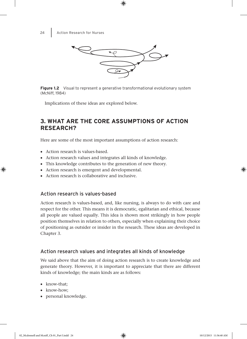

 $\textcircled{\scriptsize\textsf{P}}$ 

**Figure 1.2** Visual to represent a generative transformational evolutionary system (McNiff, 1984)

Implications of these ideas are explored below.

# **3. WHAT ARE THE CORE ASSUMPTIONS OF ACTION RESEARCH?**

Here are some of the most important assumptions of action research:

- Action research is values-based.
- Action research values and integrates all kinds of knowledge.
- This knowledge contributes to the generation of new theory.
- Action research is emergent and developmental.
- Action research is collaborative and inclusive.

#### Action research is values-based

Action research is values-based, and, like nursing, is always to do with care and respect for the other. This means it is democratic, egalitarian and ethical, because all people are valued equally. This idea is shown most strikingly in how people position themselves in relation to others, especially when explaining their choice of positioning as outsider or insider in the research. These ideas are developed in Chapter 3.

#### Action research values and integrates all kinds of knowledge

We said above that the aim of doing action research is to create knowledge and generate theory. However, it is important to appreciate that there are different kinds of knowledge; the main kinds are as follows:

- know-that;
- know-how;
- personal knowledge.

02\_Mcdonnell and Mcniff\_Ch 01\_Part I.indd 24 10/12/2015 11:56:40 AM

⊕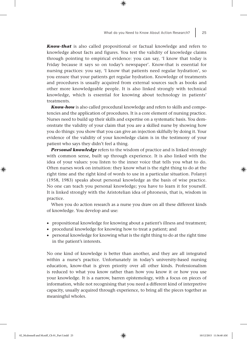*Know-that* is also called propositional or factual knowledge and refers to knowledge about facts and figures. You test the validity of knowledge claims through pointing to empirical evidence: you can say, 'I know that today is Friday because it says so on today's newspaper'. Know-that is essential for nursing practices: you say, 'I know that patients need regular hydration', so you ensure that your patients get regular hydration. Knowledge of treatments and procedures is usually acquired from external sources such as books and other more knowledgeable people. It is also linked strongly with technical knowledge, which is essential for knowing about technology in patients' treatments.

 $\textcircled{\scriptsize{*}}$ 

*Know-how* is also called procedural knowledge and refers to skills and competencies and the application of procedures. It is a core element of nursing practice. Nurses need to build up their skills and expertise on a systematic basis. You demonstrate the validity of your claim that you are a skilled nurse by showing how you do things: you show that you can give an injection skilfully by doing it. Your evidence of the validity of your knowledge claim is in the testimony of your patient who says they didn't feel a thing.

*Personal knowledge* refers to the wisdom of practice and is linked strongly with common sense, built up through experience. It is also linked with the idea of your values: you listen to the inner voice that tells you what to do. Often nurses work on intuition: they know what is the right thing to do at the right time and the right kind of words to use in a particular situation. Polanyi (1958, 1983) speaks about personal knowledge as the basis of wise practice. No one can teach you personal knowledge; you have to learn it for yourself. It is linked strongly with the Aristotelian idea of phronesis, that is, wisdom in practice.

When you do action research as a nurse you draw on all these different kinds of knowledge. You develop and use:

- propositional knowledge for knowing about a patient's illness and treatment;
- procedural knowledge for knowing how to treat a patient; and
- • personal knowledge for knowing what is the right thing to do at the right time in the patient's interests.

No one kind of knowledge is better than another, and they are all integrated within a nurse's practice. Unfortunately in today's university-based nursing education, know-that is given priority over all other kinds. Professionalism is reduced to what you know rather than how you know it or how you use your knowledge. It is a narrow, barren epistemology, with a focus on pieces of information, while not recognising that you need a different kind of interpretive capacity, usually acquired through experience, to bring all the pieces together as meaningful wholes.

02\_Mcdonnell and Mcniff\_Ch 01\_Part I.indd 25 10/12/2015 11:56:40 AM

♠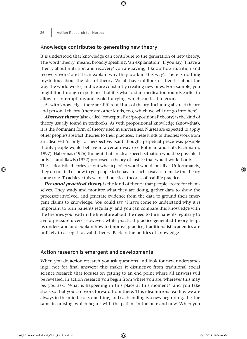#### Knowledge contributes to generating new theory

It is understood that knowledge can contribute to the generation of new theory. The word 'theory' means, broadly speaking, 'an explanation'. If you say, 'I have a theory about nutrition and recovery' you are saying, 'I know how nutrition and recovery work' and 'I can explain why they work in this way'. There is nothing mysterious about the idea of theory. We all have millions of theories about the way the world works, and we are constantly creating new ones. For example, you might find through experience that it is wise to start medication rounds earlier to allow for interruptions and avoid hurrying, which can lead to errors.

⊕

As with knowledge, there are different kinds of theory, including abstract theory and personal theory (there are other kinds, too, which we will not go into here).

*Abstract theory* (also called 'conceptual' or 'propositional' theory) is the kind of theory usually found in textbooks. As with propositional knowledge (know-that), it is the dominant form of theory used in universities. Nurses are expected to apply other people's abstract theories to their practices. These kinds of theories work from an idealised 'if only …' perspective: Kant thought perpetual peace was possible if only people would behave in a certain way (see Bohman and Lutz-Bachmann, 1997). Habermas (1976) thought that an ideal speech situation would be possible if only … and Rawls (1972) proposed a theory of justice that would work if only … . These idealistic theories set out what a perfect world would look like. Unfortunately, they do not tell us how to get people to behave in such a way as to make the theory come true. To achieve this we need practical theories of real-life practice.

*Personal practical theory* is the kind of theory that people create for themselves. They study and monitor what they are doing, gather data to show the processes involved, and generate evidence from the data to ground their emergent claims to knowledge. You could say, 'I have come to understand why it is important to turn patients regularly' and you can compare this knowledge with the theories you read in the literature about the need to turn patients regularly to avoid pressure ulcers. However, while practical practice-generated theory helps us understand and explain how to improve practice, traditionalist academics are unlikely to accept it as valid theory. Back to the politics of knowledge.

#### Action research is emergent and developmental

When you do action research you ask questions and look for new understandings, not for final answers; this makes it distinctive from traditional social science research that focuses on getting to an end point where all answers will be revealed. In action research you begin from where you are, wherever this may be: you ask, 'What is happening in this place at this moment?' and you take stock so that you can work forward from there. This idea mirrors real life: we are always in the middle of something, and each ending is a new beginning. It is the same in nursing, which begins with the patient in the here and now. When you

♠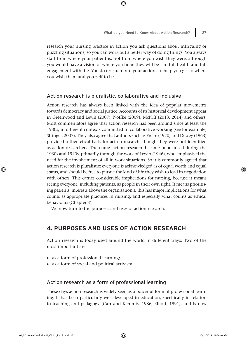research your nursing practice in action you ask questions about intriguing or puzzling situations, so you can work out a better way of doing things. You always start from where your patient is, not from where you wish they were, although you would have a vision of where you hope they will be – in full health and full engagement with life. You do research into your actions to help you get to where you wish them and yourself to be.

 $\bigoplus$ 

#### Action research is pluralistic, collaborative and inclusive

Action research has always been linked with the idea of popular movements towards democracy and social justice. Accounts of its historical development appear in Greenwood and Levin (2007), Noffke (2009), McNiff (2013, 2014) and others. Most commentators agree that action research has been around since at least the 1930s, in different contexts committed to collaborative working (see for example, Stringer, 2007). They also agree that authors such as Freire (1970) and Dewey (1963) provided a theoretical basis for action research, though they were not identified as action researchers. The name 'action research' became popularised during the 1930s and 1940s, primarily through the work of Lewin (1946), who emphasised the need for the involvement of all in work situations. So it is commonly agreed that action research is pluralistic: everyone is acknowledged as of equal worth and equal status, and should be free to pursue the kind of life they wish to lead in negotiation with others. This carries considerable implications for nursing, because it means seeing everyone, including patients, as people in their own right. It means prioritising patients' interests above the organisation's: this has major implications for what counts as appropriate practices in nursing, and especially what counts as ethical behaviours (Chapter 3).

We now turn to the purposes and uses of action research.

# **4. PURPOSES AND USES OF ACTION RESEARCH**

Action research is today used around the world in different ways. Two of the most important are:

- as a form of professional learning;
- • as a form of social and political activism.

#### Action research as a form of professional learning

These days action research is widely seen as a powerful form of professional learning. It has been particularly well developed in education, specifically in relation to teaching and pedagogy (Carr and Kemmis, 1986; Elliott, 1991), and is now

02\_Mcdonnell and Mcniff\_Ch 01\_Part I.indd 27 10/12/2015 11:56:40 AM

♠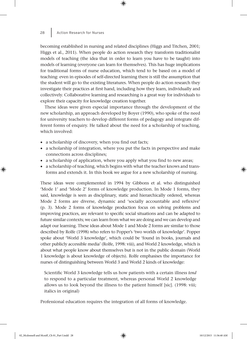becoming established in nursing and related disciplines (Higgs and Titchen, 2001; Higgs et al., 2011). When people do action research they transform traditionalist models of teaching (the idea that in order to learn you have to be taught) into models of learning (everyone can learn for themselves). This has huge implications for traditional forms of nurse education, which tend to be based on a model of teaching: even in episodes of self-directed learning there is still the assumption that the student will go to the existing literatures. When people do action research they investigate their practices at first hand, including how they learn, individually and collectively. Collaborative learning and researching is a great way for individuals to explore their capacity for knowledge creation together.

⊕

These ideas were given especial importance through the development of the new scholarship, an approach developed by Boyer (1990), who spoke of the need for university teachers to develop different forms of pedagogy and integrate different forms of enquiry. He talked about the need for a scholarship of teaching, which involved:

- a scholarship of discovery, when you find out facts;
- a scholarship of integration, where you put the facts in perspective and make connections across disciplines;
- a scholarship of application, where you apply what you find to new areas;
- a scholarship of teaching, which begins with what the teacher knows and transforms and extends it. In this book we argue for a new scholarship of nursing.

These ideas were complemented in 1994 by Gibbons et al. who distinguished 'Mode 1' and 'Mode 2' forms of knowledge production. In Mode 1 forms, they said, knowledge is seen as disciplinary, static and hierarchically ordered, whereas Mode 2 forms are diverse, dynamic and 'socially accountable and reflexive' (p. 3). Mode 2 forms of knowledge production focus on solving problems and improving practices, are relevant to specific social situations and can be adapted to future similar contexts; we can learn from what we are doing and we can develop and adapt our learning. These ideas about Mode 1 and Mode 2 forms are similar to those described by Rolfe (1998) who refers to Popper's 'two worlds of knowledge'. Popper spoke about 'World 3 knowledge', which could be 'found in books, journals and other publicly accessible media' (Rolfe, 1998: viii), and World 2 knowledge, which is about what people know about themselves but is not in the public domain (World 1 knowledge is about knowledge of objects). Rolfe emphasises the importance for nurses of distinguishing between World 3 and World 2 kinds of knowledge:

Scientific World 3 knowledge tells us how patients with a certain illness *tend* to respond to a particular treatment, whereas personal World 2 knowledge allows us to look beyond the illness to the patient himself [sic]. (1998: viii; italics in original)

Professional education requires the integration of all forms of knowledge.

02\_Mcdonnell and Mcniff\_Ch 01\_Part I.indd 28 10/12/2015 11:56:40 AM

♠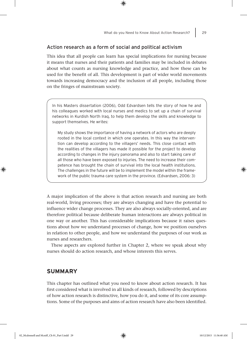#### Action research as a form of social and political activism

This idea that all people can learn has special implications for nursing because it means that nurses and their patients and families may be included in debates about what counts as nursing knowledge and practice, and how these can be used for the benefit of all. This development is part of wider world movements towards increasing democracy and the inclusion of all people, including those on the fringes of mainstream society.

 $\textcircled{\scriptsize{*}}$ 

In his Masters dissertation (2006), Odd Edvardsen tells the story of how he and his colleagues worked with local nurses and medics to set up a chain of survival networks in Kurdish North Iraq, to help them develop the skills and knowledge to support themselves. He writes:

My study shows the importance of having a network of actors who are deeply rooted in the local context in which one operates. In this way the intervention can develop according to the villagers' needs. This close contact with the realities of the villagers has made it possible for the project to develop according to changes in the injury panorama and also to start taking care of all those who have been exposed to injuries. The need to increase their competence has brought the chain of survival into the local health institutions. The challenges in the future will be to implement the model within the framework of the public trauma care system in the province. (Edvardsen, 2006: 3)

A major implication of the above is that action research and nursing are both real-world, living processes; they are always changing and have the potential to influence wider change processes. They are also always socially-oriented, and are therefore political because deliberate human interactions are always political in one way or another. This has considerable implications because it raises questions about how we understand processes of change, how we position ourselves in relation to other people, and how we understand the purposes of our work as nurses and researchers.

These aspects are explored further in Chapter 2, where we speak about why nurses should do action research, and whose interests this serves.

#### **SUMMARY**

♠

This chapter has outlined what you need to know about action research. It has first considered what is involved in all kinds of research, followed by descriptions of how action research is distinctive, how you do it, and some of its core assumptions. Some of the purposes and aims of action research have also been identified.

02\_Mcdonnell and Mcniff\_Ch 01\_Part I.indd 29 10/12/2015 11:56:40 AM